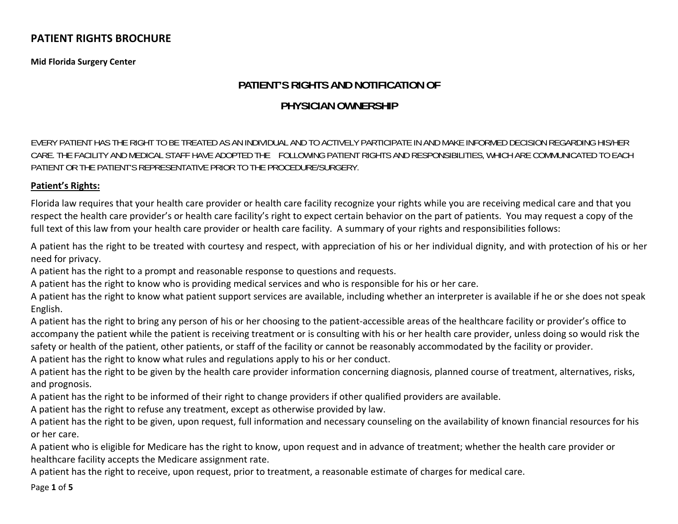**Mid Florida Surgery Center**

# **PATIENT'S RIGHTS AND NOTIFICATION OF**

## **PHYSICIAN OWNERSHIP**

EVERY PATIENT HAS THE RIGHT TO BE TREATED AS AN INDIVIDUAL AND TO ACTIVELY PARTICIPATE IN AND MAKE INFORMED DECISION REGARDING HIS/HER CARE. THE FACILITY AND MEDICAL STAFF HAVE ADOPTED THE FOLLOWING PATIENT RIGHTS AND RESPONSIBILITIES, WHICH ARE COMMUNICATED TO EACH PATIENT OR THE PATIENT'S REPRESENTATIVE PRIOR TO THE PROCEDURE/SURGERY.

## **Patient's Rights:**

Florida law requires that your health care provider or health care facility recognize your rights while you are receiving medical care and that you respect the health care provider's or health care facility's right to expect certain behavior on the part of patients. You may request <sup>a</sup> copy of the full text of this law from your health care provider or health care facility. A summary of your rights and responsibilities follows:

A patient has the right to be treated with courtesy and respect, with appreciation of his or her individual dignity, and with protection of his or her need for privacy.

A patient has the right to <sup>a</sup> prompt and reasonable response to questions and requests.

A patient has the right to know who is providing medical services and who is responsible for his or her care.

A patient has the right to know what patient support services are available, including whether an interpreter is available if he or she does not speak English.

A patient has the right to bring any person of his or her choosing to the patient‐accessible areas of the healthcare facility or provider's office to accompany the patient while the patient is receiving treatment or is consulting with his or her health care provider, unless doing so would risk the safety or health of the patient, other patients, or staff of the facility or cannot be reasonably accommodated by the facility or provider.

A patient has the right to know what rules and regulations apply to his or her conduct.

A patient has the right to be given by the health care provider information concerning diagnosis, planned course of treatment, alternatives, risks, and prognosis.

A patient has the right to be informed of their right to change providers if other qualified providers are available.

A patient has the right to refuse any treatment, except as otherwise provided by law.

A patient has the right to be given, upon request, full information and necessary counseling on the availability of known financial resources for his or her care.

A patient who is eligible for Medicare has the right to know, upon request and in advance of treatment; whether the health care provider or healthcare facility accepts the Medicare assignment rate.

A patient has the right to receive, upon request, prior to treatment, <sup>a</sup> reasonable estimate of charges for medical care.

Page **1** of **5**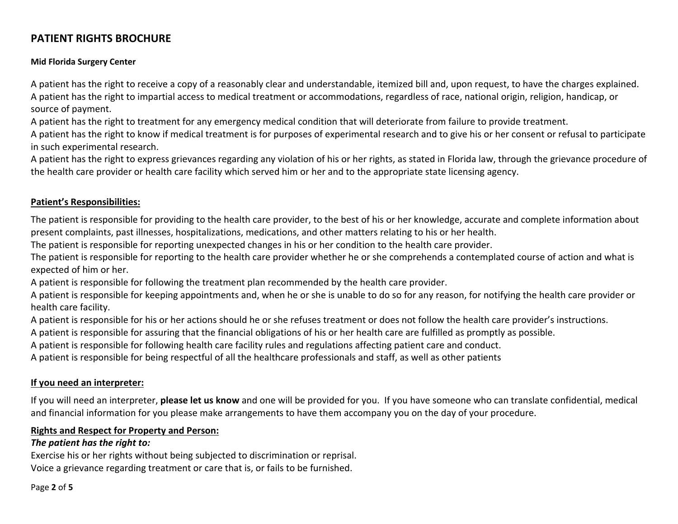## **Mid Florida Surgery Center**

A patient has the right to receive <sup>a</sup> copy of <sup>a</sup> reasonably clear and understandable, itemized bill and, upon request, to have the charges explained. A patient has the right to impartial access to medical treatment or accommodations, regardless of race, national origin, religion, handicap, or source of payment.

A patient has the right to treatment for any emergency medical condition that will deteriorate from failure to provide treatment.

A patient has the right to know if medical treatment is for purposes of experimental research and to give his or her consent or refusal to participate in such experimental research.

A patient has the right to express grievances regarding any violation of his or her rights, as stated in Florida law, through the grievance procedure of the health care provider or health care facility which served him or her and to the appropriate state licensing agency.

#### **Patient's Responsibilities:**

The patient is responsible for providing to the health care provider, to the best of his or her knowledge, accurate and complete information about present complaints, past illnesses, hospitalizations, medications, and other matters relating to his or her health.

The patient is responsible for reporting unexpected changes in his or her condition to the health care provider.

The patient is responsible for reporting to the health care provider whether he or she comprehends <sup>a</sup> contemplated course of action and what is expected of him or her.

A patient is responsible for following the treatment plan recommended by the health care provider.

A patient is responsible for keeping appointments and, when he or she is unable to do so for any reason, for notifying the health care provider or health care facility.

A patient is responsible for his or her actions should he or she refuses treatment or does not follow the health care provider's instructions.

A patient is responsible for assuring that the financial obligations of his or her health care are fulfilled as promptly as possible.

A patient is responsible for following health care facility rules and regulations affecting patient care and conduct.

A patient is responsible for being respectful of all the healthcare professionals and staff, as well as other patients

## **If you need an interpreter:**

If you will need an interpreter, **please let us know** and one will be provided for you. If you have someone who can translate confidential, medical and financial information for you please make arrangements to have them accompany you on the day of your procedure.

#### **Rights and Respect for Property and Person:**

#### *The patient has the right to:*

Exercise his or her rights without being subjected to discrimination or reprisal. Voice <sup>a</sup> grievance regarding treatment or care that is, or fails to be furnished.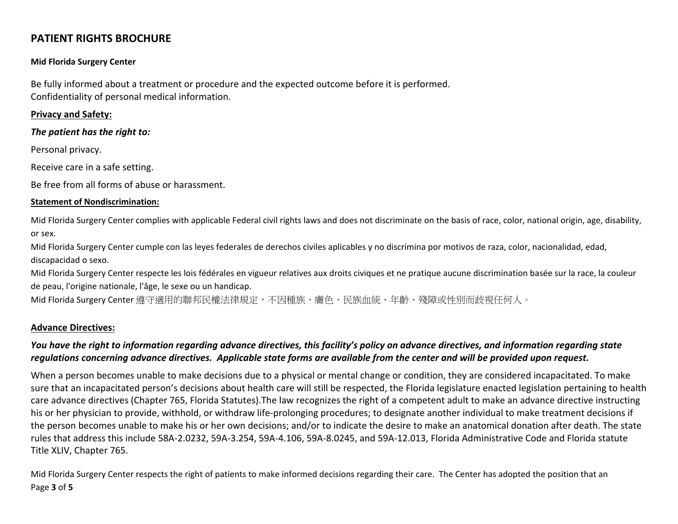#### **Mid Florida Surgery Center**

Be fully informed about <sup>a</sup> treatment or procedure and the expected outcome before it is performed. Confidentiality of personal medical information.

#### **Privacy and Safety:**

*The patient has the right to:*

Personal privacy.

Receive care in <sup>a</sup> safe setting.

Be free from all forms of abuse or harassment.

#### **Statement of Nondiscrimination:**

Mid Florida Surgery Center complies with applicable Federal civil rights laws and does not discriminate on the basis of race, color, national origin, age, disability, or sex.

Mid Florida Surgery Center cumple con las leyes federales de derechos civiles aplicables y no discrimina por motivos de raza, color, nacionalidad, edad, discapacidad <sup>o</sup> sexo.

Mid Florida Surgery Center respecte les lois fédérales en vigueur relatives aux droits civiques et ne pratique aucune discrimination basée sur la race, la couleur de peau, l'origine nationale, l'âge, le sexe ou un handicap.

Mid Florida Surgery Center 遵守適用的聯邦民權法律規定,不因種族、膚色、民族血統、年齡、殘障或性別而歧視任何人。

#### **Advance Directives:**

## You have the right to information regarding advance directives, this facility's policy on advance directives, and information regarding state regulations concerning advance directives. Applicable state forms are available from the center and will be provided upon request.

When <sup>a</sup> person becomes unable to make decisions due to <sup>a</sup> physical or mental change or condition, they are considered incapacitated. To make sure that an incapacitated person's decisions about health care will still be respected, the Florida legislature enacted legislation pertaining to health care advance directives (Chapter 765, Florida Statutes).The law recognizes the right of <sup>a</sup> competent adult to make an advance directive instructing his or her physician to provide, withhold, or withdraw life‐prolonging procedures; to designate another individual to make treatment decisions if the person becomes unable to make his or her own decisions; and/or to indicate the desire to make an anatomical donation after death. The state rules that address this include 58A‐2.0232, 59A‐3.254, 59A‐4.106, 59A‐8.0245, and 59A‐12.013, Florida Administrative Code and Florida statute Title XLIV, Chapter 765.

Page **3** of **5** Mid Florida Surgery Center respects the right of patients to make informed decisions regarding their care. The Center has adopted the position that an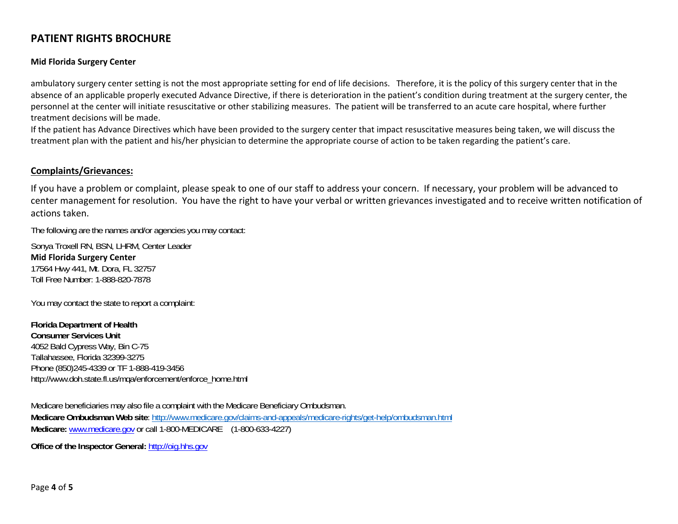#### **Mid Florida Surgery Center**

ambulatory surgery center setting is not the most appropriate setting for end of life decisions. Therefore, it is the policy of this surgery center that in the absence of an applicable properly executed Advance Directive, if there is deterioration in the patient's condition during treatment at the surgery center, the personnel at the center will initiate resuscitative or other stabilizing measures. The patient will be transferred to an acute care hospital, where further treatment decisions will be made.

If the patient has Advance Directives which have been provided to the surgery center that impact resuscitative measures being taken, we will discuss the treatment plan with the patient and his/her physician to determine the appropriate course of action to be taken regarding the patient's care.

#### **Complaints/Grievances:**

If you have <sup>a</sup> problem or complaint, please speak to one of our staff to address your concern. If necessary, your problem will be advanced to center management for resolution. You have the right to have your verbal or written grievances investigated and to receive written notification of actions taken.

The following are the names and/or agencies you may contact:

Sonya Troxell RN, BSN, LHRM, Center Leader **Mid Florida Surgery Center** 17564 Hwy 441, Mt. Dora, FL 32757 Toll Free Number: 1-888-820-7878

You may contact the state to report a complaint:

**Florida Department of Health Consumer Services Unit** 4052 Bald Cypress Way, Bin C-75 Tallahassee, Florida 32399-3275 Phone (850)245-4339 or TF 1-888-419-3456 http://www.doh.state.fl.us/mqa/enforcement/enforce\_home.html

Medicare beneficiaries may also file a complaint with the Medicare Beneficiary Ombudsman. **Medicare Ombudsman Web site**: http://www.medicare.gov/claims-and-appeals/medicare-rights/get-help/ombudsman.html **Medicare:** www.medicare.gov or call 1-800-MEDICARE (1-800-633-4227)

**Office of the Inspector General:** http://oig.hhs.gov